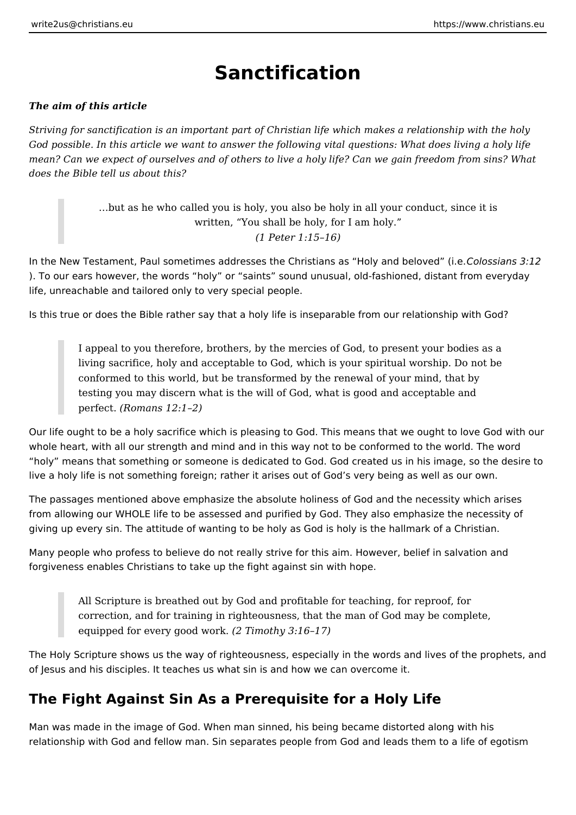# **Sanctification**

### *The aim of this article*

*Striving for sanctification is an important part of Christian life which makes a relationship with the holy God possible. In this article we want to answer the following vital questions: What does living a holy life mean? Can we expect of ourselves and of others to live a holy life? Can we gain freedom from sins? What does the Bible tell us about this?*

> …but as he who called you is holy, you also be holy in all your conduct, since it is written, "You shall be holy, for I am holy." *(1 Peter 1:15–16)*

In the New Testament, Paul sometimes addresses the Christians as "Holy and beloved" (i.e. *Colossians 3:12* ). To our ears however, the words "holy" or "saints" sound unusual, old-fashioned, distant from everyday life, unreachable and tailored only to very special people.

Is this true or does the Bible rather say that a holy life is inseparable from our relationship with God?

I appeal to you therefore, brothers, by the mercies of God, to present your bodies as a living sacrifice, holy and acceptable to God, which is your spiritual worship. Do not be conformed to this world, but be transformed by the renewal of your mind, that by testing you may discern what is the will of God, what is good and acceptable and perfect. *(Romans 12:1–2)*

Our life ought to be a holy sacrifice which is pleasing to God. This means that we ought to love God with our whole heart, with all our strength and mind and in this way not to be conformed to the world. The word "holy" means that something or someone is dedicated to God. God created us in his image, so the desire to live a holy life is not something foreign; rather it arises out of God's very being as well as our own.

The passages mentioned above emphasize the absolute holiness of God and the necessity which arises from allowing our WHOLE life to be assessed and purified by God. They also emphasize the necessity of giving up every sin. The attitude of wanting to be holy as God is holy is the hallmark of a Christian.

Many people who profess to believe do not really strive for this aim. However, belief in salvation and forgiveness enables Christians to take up the fight against sin with hope.

> All Scripture is breathed out by God and profitable for teaching, for reproof, for correction, and for training in righteousness, that the man of God may be complete, equipped for every good work. *(2 Timothy 3:16–17)*

The Holy Scripture shows us the way of righteousness, especially in the words and lives of the prophets, and of Jesus and his disciples. It teaches us what sin is and how we can overcome it.

## **The Fight Against Sin As a Prerequisite for a Holy Life**

Man was made in the image of God. When man sinned, his being became distorted along with his relationship with God and fellow man. Sin separates people from God and leads them to a life of egotism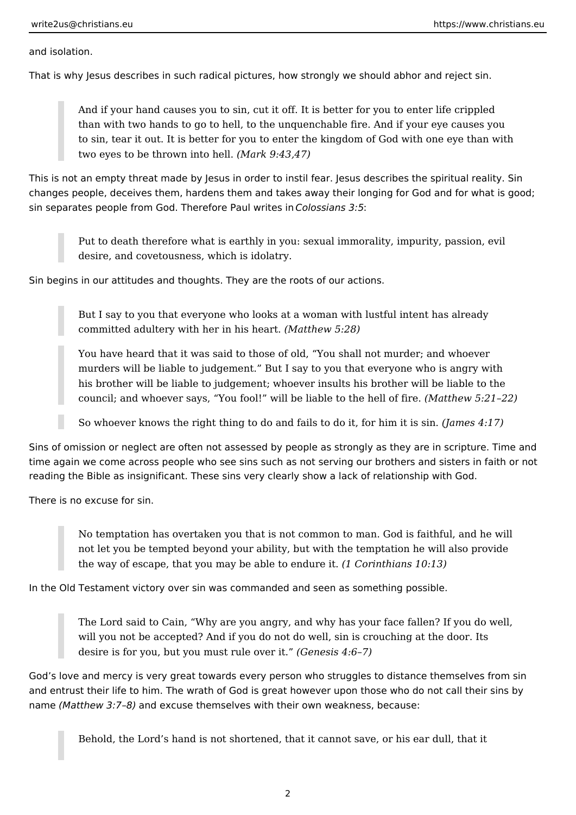and isolation.

That is why Jesus describes in such radical pictures, how strongly we should abhor and reject sin.

And if your hand causes you to sin, cut it off. It is better for you to enter life crippled than with two hands to go to hell, to the unquenchable fire. And if your eye causes you to sin, tear it out. It is better for you to enter the kingdom of God with one eye than with two eyes to be thrown into hell. *(Mark 9:43,47)*

This is not an empty threat made by Jesus in order to instil fear. Jesus describes the spiritual reality. Sin changes people, deceives them, hardens them and takes away their longing for God and for what is good; sin separates people from God. Therefore Paul writes in *Colossians 3:5*:

Put to death therefore what is earthly in you: sexual immorality, impurity, passion, evil desire, and covetousness, which is idolatry.

Sin begins in our attitudes and thoughts. They are the roots of our actions.

But I say to you that everyone who looks at a woman with lustful intent has already committed adultery with her in his heart. *(Matthew 5:28)*

You have heard that it was said to those of old, "You shall not murder; and whoever murders will be liable to judgement." But I say to you that everyone who is angry with his brother will be liable to judgement; whoever insults his brother will be liable to the council; and whoever says, "You fool!" will be liable to the hell of fire. *(Matthew 5:21–22)*

So whoever knows the right thing to do and fails to do it, for him it is sin. *(James 4:17)*

Sins of omission or neglect are often not assessed by people as strongly as they are in scripture. Time and time again we come across people who see sins such as not serving our brothers and sisters in faith or not reading the Bible as insignificant. These sins very clearly show a lack of relationship with God.

There is no excuse for sin.

No temptation has overtaken you that is not common to man. God is faithful, and he will not let you be tempted beyond your ability, but with the temptation he will also provide the way of escape, that you may be able to endure it. *(1 Corinthians 10:13)*

In the Old Testament victory over sin was commanded and seen as something possible.

The Lord said to Cain, "Why are you angry, and why has your face fallen? If you do well, will you not be accepted? And if you do not do well, sin is crouching at the door. Its desire is for you, but you must rule over it." *(Genesis 4:6–7)*

God's love and mercy is very great towards every person who struggles to distance themselves from sin and entrust their life to him. The wrath of God is great however upon those who do not call their sins by name *(Matthew 3:7–8)* and excuse themselves with their own weakness, because:

Behold, the Lord's hand is not shortened, that it cannot save, or his ear dull, that it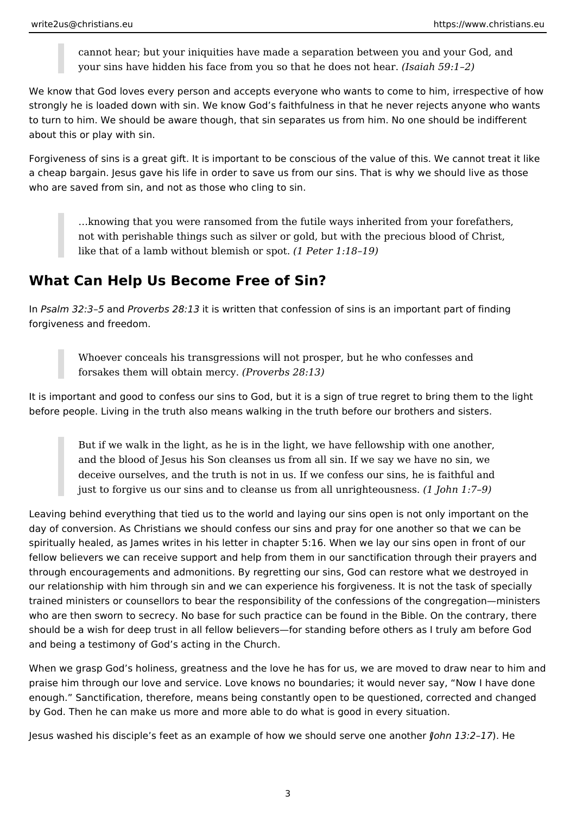cannot hear; but your iniquities have made a separation between you and your God, and your sins have hidden his face from you so that he does not hear. *(Isaiah 59:1–2)*

We know that God loves every person and accepts everyone who wants to come to him, irrespective of how strongly he is loaded down with sin. We know God's faithfulness in that he never rejects anyone who wants to turn to him. We should be aware though, that sin separates us from him. No one should be indifferent about this or play with sin.

Forgiveness of sins is a great gift. It is important to be conscious of the value of this. We cannot treat it like a cheap bargain. Jesus gave his life in order to save us from our sins. That is why we should live as those who are saved from sin, and not as those who cling to sin.

…knowing that you were ransomed from the futile ways inherited from your forefathers, not with perishable things such as silver or gold, but with the precious blood of Christ, like that of a lamb without blemish or spot. *(1 Peter 1:18–19)*

## **What Can Help Us Become Free of Sin?**

In *Psalm 32:3–5* and *Proverbs 28:13* it is written that confession of sins is an important part of finding forgiveness and freedom.

Whoever conceals his transgressions will not prosper, but he who confesses and forsakes them will obtain mercy. *(Proverbs 28:13)*

It is important and good to confess our sins to God, but it is a sign of true regret to bring them to the light before people. Living in the truth also means walking in the truth before our brothers and sisters.

But if we walk in the light, as he is in the light, we have fellowship with one another, and the blood of Jesus his Son cleanses us from all sin. If we say we have no sin, we deceive ourselves, and the truth is not in us. If we confess our sins, he is faithful and just to forgive us our sins and to cleanse us from all unrighteousness. *(1 John 1:7–9)*

Leaving behind everything that tied us to the world and laying our sins open is not only important on the day of conversion. As Christians we should confess our sins and pray for one another so that we can be spiritually healed, as James writes in his letter in chapter 5:16. When we lay our sins open in front of our fellow believers we can receive support and help from them in our sanctification through their prayers and through encouragements and admonitions. By regretting our sins, God can restore what we destroyed in our relationship with him through sin and we can experience his forgiveness. It is not the task of specially trained ministers or counsellors to bear the responsibility of the confessions of the congregation—ministers who are then sworn to secrecy. No base for such practice can be found in the Bible. On the contrary, there should be a wish for deep trust in all fellow believers—for standing before others as I truly am before God and being a testimony of God's acting in the Church.

When we grasp God's holiness, greatness and the love he has for us, we are moved to draw near to him and praise him through our love and service. Love knows no boundaries; it would never say, "Now I have done enough." Sanctification, therefore, means being constantly open to be questioned, corrected and changed by God. Then he can make us more and more able to do what is good in every situation.

Jesus washed his disciple's feet as an example of how we should serve one another (*John 13:2–17*). He